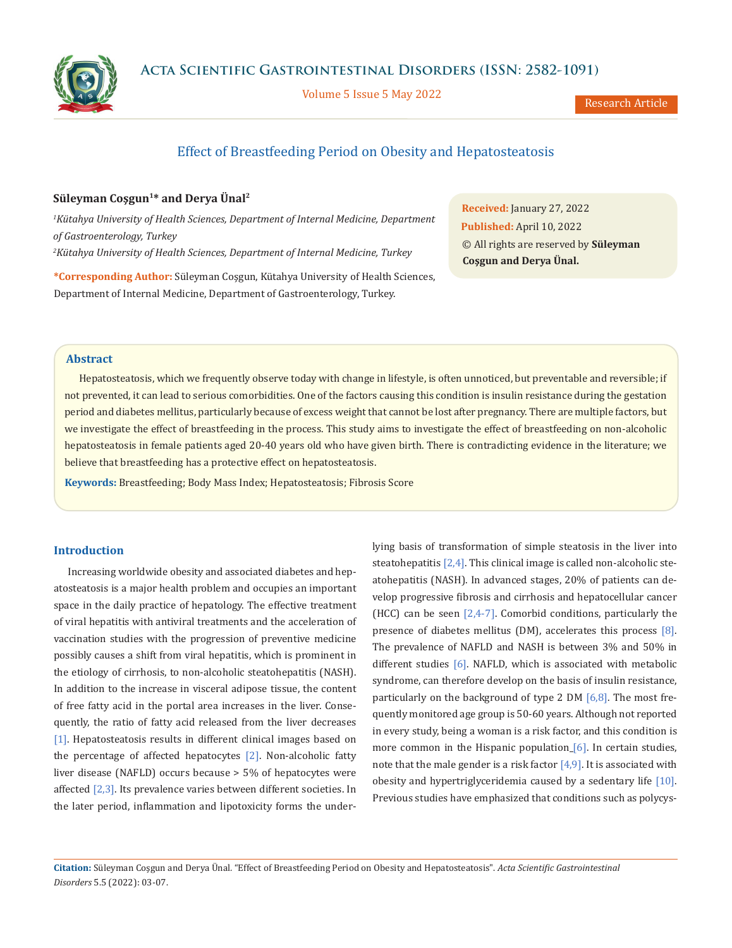



Volume 5 Issue 5 May 2022

Research Article

# Effect of Breastfeeding Period on Obesity and Hepatosteatosis

# **Süleyman Coşgun1\* and Derya Ünal2**

*1 Kütahya University of Health Sciences, Department of Internal Medicine, Department of Gastroenterology, Turkey 2 Kütahya University of Health Sciences, Department of Internal Medicine, Turkey*

**\*Corresponding Author:** Süleyman Coşgun, Kütahya University of Health Sciences, Department of Internal Medicine, Department of Gastroenterology, Turkey.

**Received:** January 27, 2022 **Published:** April 10, 2022 © All rights are reserved by **Süleyman Coşgun and Derya Ünal.**

# **Abstract**

Hepatosteatosis, which we frequently observe today with change in lifestyle, is often unnoticed, but preventable and reversible; if not prevented, it can lead to serious comorbidities. One of the factors causing this condition is insulin resistance during the gestation period and diabetes mellitus, particularly because of excess weight that cannot be lost after pregnancy. There are multiple factors, but we investigate the effect of breastfeeding in the process. This study aims to investigate the effect of breastfeeding on non-alcoholic hepatosteatosis in female patients aged 20-40 years old who have given birth. There is contradicting evidence in the literature; we believe that breastfeeding has a protective effect on hepatosteatosis.

**Keywords:** Breastfeeding; Body Mass Index; Hepatosteatosis; Fibrosis Score

# **Introduction**

Increasing worldwide obesity and associated diabetes and hepatosteatosis is a major health problem and occupies an important space in the daily practice of hepatology. The effective treatment of viral hepatitis with antiviral treatments and the acceleration of vaccination studies with the progression of preventive medicine possibly causes a shift from viral hepatitis, which is prominent in the etiology of cirrhosis, to non-alcoholic steatohepatitis (NASH). In addition to the increase in visceral adipose tissue, the content of free fatty acid in the portal area increases in the liver. Consequently, the ratio of fatty acid released from the liver decreases [1]. Hepatosteatosis results in different clinical images based on the percentage of affected hepatocytes  $[2]$ . Non-alcoholic fatty liver disease (NAFLD) occurs because > 5% of hepatocytes were affected [2,3]. Its prevalence varies between different societies. In the later period, inflammation and lipotoxicity forms the underlying basis of transformation of simple steatosis in the liver into steatohepatitis [2,4]. This clinical image is called non-alcoholic steatohepatitis (NASH). In advanced stages, 20% of patients can develop progressive fibrosis and cirrhosis and hepatocellular cancer (HCC) can be seen  $[2,4-7]$ . Comorbid conditions, particularly the presence of diabetes mellitus (DM), accelerates this process [8]. The prevalence of NAFLD and NASH is between 3% and 50% in different studies [6]. NAFLD, which is associated with metabolic syndrome, can therefore develop on the basis of insulin resistance, particularly on the background of type 2 DM  $[6,8]$ . The most frequently monitored age group is 50-60 years. Although not reported in every study, being a woman is a risk factor, and this condition is more common in the Hispanic population  $[6]$ . In certain studies, note that the male gender is a risk factor  $[4,9]$ . It is associated with obesity and hypertriglyceridemia caused by a sedentary life [10]. Previous studies have emphasized that conditions such as polycys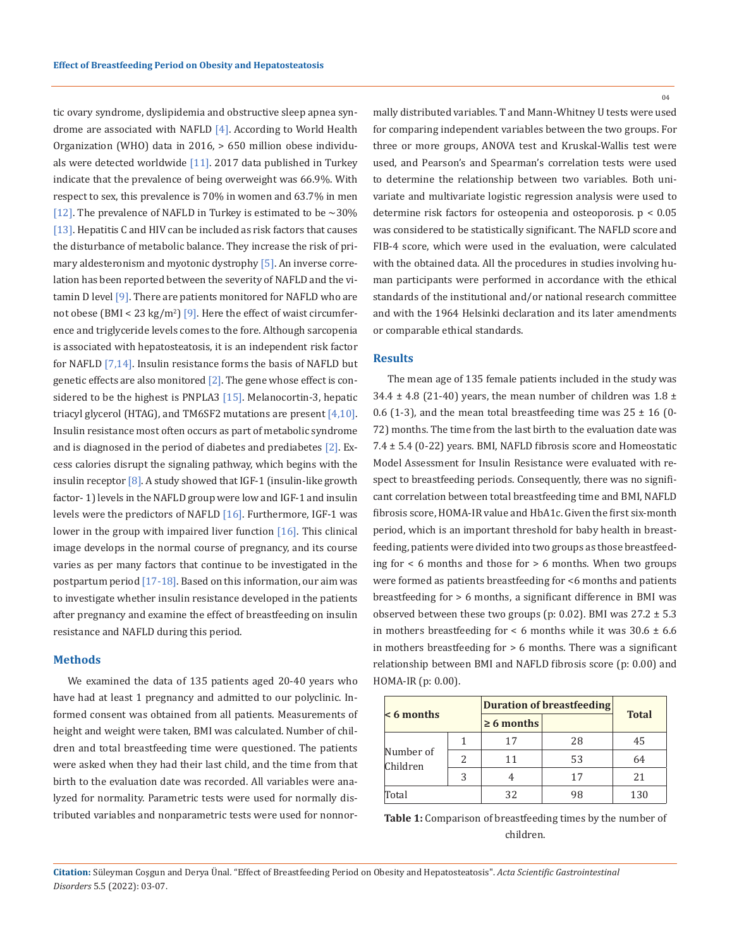tic ovary syndrome, dyslipidemia and obstructive sleep apnea syndrome are associated with NAFLD [4]. According to World Health Organization (WHO) data in 2016, > 650 million obese individuals were detected worldwide  $[11]$ . 2017 data published in Turkey indicate that the prevalence of being overweight was 66.9%. With respect to sex, this prevalence is 70% in women and 63.7% in men [12]. The prevalence of NAFLD in Turkey is estimated to be  $\sim$  30% [13]. Hepatitis C and HIV can be included as risk factors that causes the disturbance of metabolic balance. They increase the risk of primary aldesteronism and myotonic dystrophy [5]. An inverse correlation has been reported between the severity of NAFLD and the vitamin D level [9]. There are patients monitored for NAFLD who are not obese (BMI < 23 kg/m<sup>2</sup>) [9]. Here the effect of waist circumference and triglyceride levels comes to the fore. Although sarcopenia is associated with hepatosteatosis, it is an independent risk factor for NAFLD [7,14]. Insulin resistance forms the basis of NAFLD but genetic effects are also monitored  $[2]$ . The gene whose effect is considered to be the highest is PNPLA3 [15]. Melanocortin-3, hepatic triacyl glycerol (HTAG), and TM6SF2 mutations are present [4,10]. Insulin resistance most often occurs as part of metabolic syndrome and is diagnosed in the period of diabetes and prediabetes [2]. Excess calories disrupt the signaling pathway, which begins with the insulin receptor [8]. A study showed that IGF-1 (insulin-like growth factor- 1) levels in the NAFLD group were low and IGF-1 and insulin levels were the predictors of NAFLD [16]. Furthermore, IGF-1 was lower in the group with impaired liver function  $[16]$ . This clinical image develops in the normal course of pregnancy, and its course varies as per many factors that continue to be investigated in the postpartum period  $[17-18]$ . Based on this information, our aim was to investigate whether insulin resistance developed in the patients after pregnancy and examine the effect of breastfeeding on insulin resistance and NAFLD during this period.

### **Methods**

We examined the data of 135 patients aged 20-40 years who have had at least 1 pregnancy and admitted to our polyclinic. Informed consent was obtained from all patients. Measurements of height and weight were taken, BMI was calculated. Number of children and total breastfeeding time were questioned. The patients were asked when they had their last child, and the time from that birth to the evaluation date was recorded. All variables were analyzed for normality. Parametric tests were used for normally distributed variables and nonparametric tests were used for nonnormally distributed variables. T and Mann-Whitney U tests were used for comparing independent variables between the two groups. For three or more groups, ANOVA test and Kruskal-Wallis test were used, and Pearson's and Spearman's correlation tests were used to determine the relationship between two variables. Both univariate and multivariate logistic regression analysis were used to determine risk factors for osteopenia and osteoporosis. p < 0.05 was considered to be statistically significant. The NAFLD score and FIB-4 score, which were used in the evaluation, were calculated with the obtained data. All the procedures in studies involving human participants were performed in accordance with the ethical standards of the institutional and/or national research committee and with the 1964 Helsinki declaration and its later amendments or comparable ethical standards.

#### **Results**

The mean age of 135 female patients included in the study was 34.4  $\pm$  4.8 (21-40) years, the mean number of children was 1.8  $\pm$ 0.6 (1-3), and the mean total breastfeeding time was  $25 \pm 16$  (0-72) months. The time from the last birth to the evaluation date was 7.4 ± 5.4 (0-22) years. BMI, NAFLD fibrosis score and Homeostatic Model Assessment for Insulin Resistance were evaluated with respect to breastfeeding periods. Consequently, there was no significant correlation between total breastfeeding time and BMI, NAFLD fibrosis score, HOMA-IR value and HbA1c. Given the first six-month period, which is an important threshold for baby health in breastfeeding, patients were divided into two groups as those breastfeeding for < 6 months and those for > 6 months. When two groups were formed as patients breastfeeding for <6 months and patients breastfeeding for > 6 months, a significant difference in BMI was observed between these two groups (p: 0.02). BMI was  $27.2 \pm 5.3$ in mothers breastfeeding for  $<$  6 months while it was 30.6  $\pm$  6.6 in mothers breastfeeding for  $> 6$  months. There was a significant relationship between BMI and NAFLD fibrosis score (p: 0.00) and HOMA-IR (p: 0.00).

| $\leq 6$ months       |               | <b>Duration of breastfeeding</b> |    |              |
|-----------------------|---------------|----------------------------------|----|--------------|
|                       |               | $\geq 6$ months                  |    | <b>Total</b> |
| Number of<br>Children |               | 17                               | 28 | 45           |
|                       | $\mathcal{L}$ | 11                               | 53 | 64           |
|                       | 3             | 4                                | 17 | 21           |
| Total                 |               | 32                               | 98 | 130          |

| <b>Table 1:</b> Comparison of breastfeeding times by the number of |
|--------------------------------------------------------------------|
| children.                                                          |

**Citation:** Süleyman Coşgun and Derya Ünal*.* "Effect of Breastfeeding Period on Obesity and Hepatosteatosis". *Acta Scientific Gastrointestinal Disorders* 5.5 (2022): 03-07.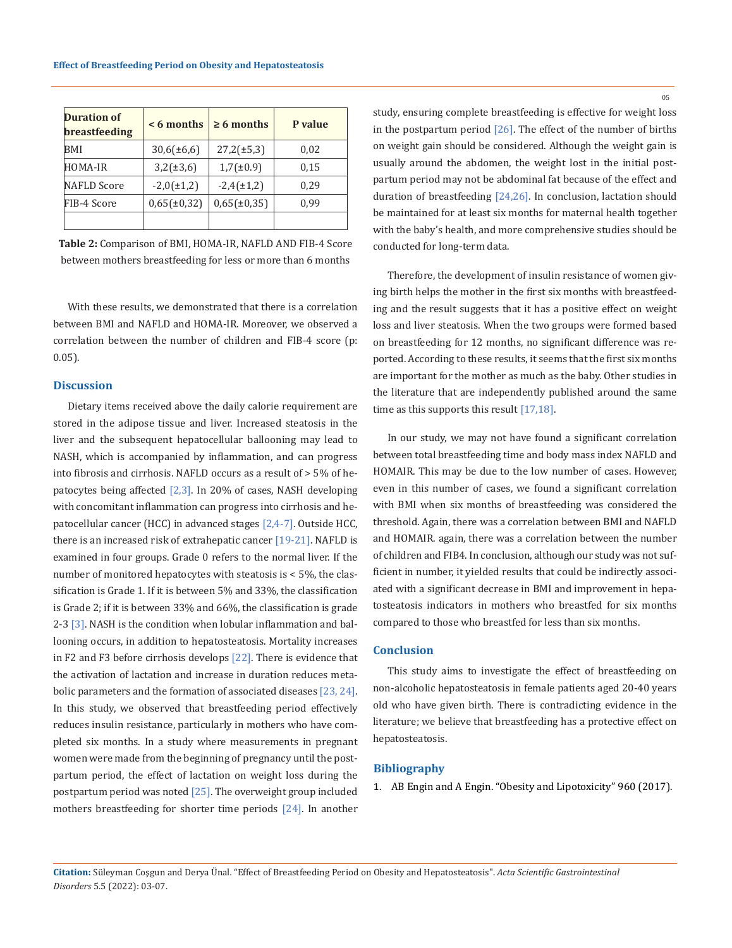| Duration of<br><b>breastfeeding</b> | $< 6$ months     | $\geq 6$ months  | P value |
|-------------------------------------|------------------|------------------|---------|
| BMI                                 | $30,6(\pm 6,6)$  | $27,2(\pm 5,3)$  | 0,02    |
| HOMA-IR                             | $3,2(\pm 3,6)$   | $1,7(\pm 0.9)$   | 0,15    |
| NAFLD Score                         | $-2,0(\pm 1,2)$  | $-2,4(\pm 1,2)$  | 0.29    |
| FIB-4 Score                         | $0,65(\pm 0,32)$ | $0,65(\pm 0,35)$ | 0,99    |
|                                     |                  |                  |         |

**Table 2:** Comparison of BMI, HOMA-IR, NAFLD AND FIB-4 Score between mothers breastfeeding for less or more than 6 months

With these results, we demonstrated that there is a correlation between BMI and NAFLD and HOMA-IR. Moreover, we observed a correlation between the number of children and FIB-4 score (p: 0.05).

### **Discussion**

Dietary items received above the daily calorie requirement are stored in the adipose tissue and liver. Increased steatosis in the liver and the subsequent hepatocellular ballooning may lead to NASH, which is accompanied by inflammation, and can progress into fibrosis and cirrhosis. NAFLD occurs as a result of > 5% of hepatocytes being affected [2,3]. In 20% of cases, NASH developing with concomitant inflammation can progress into cirrhosis and hepatocellular cancer (HCC) in advanced stages [2,4-7]. Outside HCC, there is an increased risk of extrahepatic cancer [19-21]. NAFLD is examined in four groups. Grade 0 refers to the normal liver. If the number of monitored hepatocytes with steatosis is < 5%, the classification is Grade 1. If it is between 5% and 33%, the classification is Grade 2; if it is between 33% and 66%, the classification is grade 2-3 [3]. NASH is the condition when lobular inflammation and ballooning occurs, in addition to hepatosteatosis. Mortality increases in F2 and F3 before cirrhosis develops [22]. There is evidence that the activation of lactation and increase in duration reduces metabolic parameters and the formation of associated diseases [23, 24]. In this study, we observed that breastfeeding period effectively reduces insulin resistance, particularly in mothers who have completed six months. In a study where measurements in pregnant women were made from the beginning of pregnancy until the postpartum period, the effect of lactation on weight loss during the postpartum period was noted  $[25]$ . The overweight group included mothers breastfeeding for shorter time periods [24]. In another study, ensuring complete breastfeeding is effective for weight loss in the postpartum period  $[26]$ . The effect of the number of births on weight gain should be considered. Although the weight gain is usually around the abdomen, the weight lost in the initial postpartum period may not be abdominal fat because of the effect and duration of breastfeeding [24,26]. In conclusion, lactation should be maintained for at least six months for maternal health together with the baby's health, and more comprehensive studies should be conducted for long-term data.

Therefore, the development of insulin resistance of women giving birth helps the mother in the first six months with breastfeeding and the result suggests that it has a positive effect on weight loss and liver steatosis. When the two groups were formed based on breastfeeding for 12 months, no significant difference was reported. According to these results, it seems that the first six months are important for the mother as much as the baby. Other studies in the literature that are independently published around the same time as this supports this result [17,18].

In our study, we may not have found a significant correlation between total breastfeeding time and body mass index NAFLD and HOMAIR. This may be due to the low number of cases. However, even in this number of cases, we found a significant correlation with BMI when six months of breastfeeding was considered the threshold. Again, there was a correlation between BMI and NAFLD and HOMAIR. again, there was a correlation between the number of children and FIB4. In conclusion, although our study was not sufficient in number, it yielded results that could be indirectly associated with a significant decrease in BMI and improvement in hepatosteatosis indicators in mothers who breastfed for six months compared to those who breastfed for less than six months.

# **Conclusion**

This study aims to investigate the effect of breastfeeding on non-alcoholic hepatosteatosis in female patients aged 20-40 years old who have given birth. There is contradicting evidence in the literature; we believe that breastfeeding has a protective effect on hepatosteatosis.

# **Bibliography**

1. [AB Engin and A Engin. "Obesity and Lipotoxicity" 960 \(2017\).](https://link.springer.com/book/10.1007/978-3-319-48382-5)

**Citation:** Süleyman Coşgun and Derya Ünal*.* "Effect of Breastfeeding Period on Obesity and Hepatosteatosis". *Acta Scientific Gastrointestinal Disorders* 5.5 (2022): 03-07.

05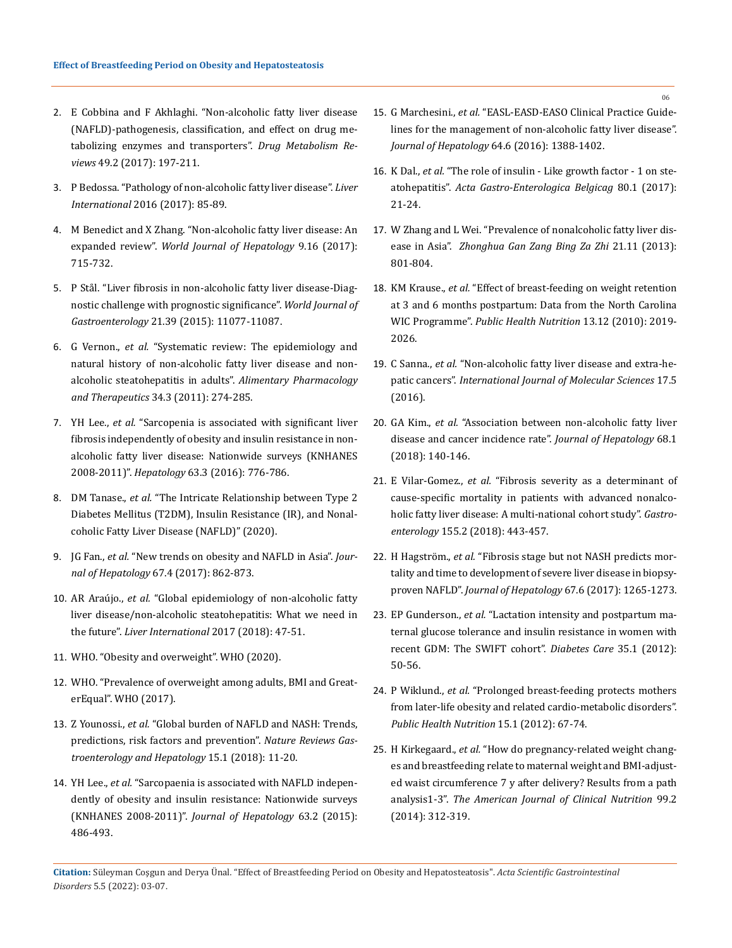- 2. [E Cobbina and F Akhlaghi. "Non-alcoholic fatty liver disease](file:///E:/Acta%20pdfs--%20Rajani/APRIL/ASGIS/ASGIS-22-RA-033/1.%09doi:%2010.1080/03602532.2017.1293683.)  [\(NAFLD\)-pathogenesis, classification, and effect on drug me](file:///E:/Acta%20pdfs--%20Rajani/APRIL/ASGIS/ASGIS-22-RA-033/1.%09doi:%2010.1080/03602532.2017.1293683.)[tabolizing enzymes and transporters".](file:///E:/Acta%20pdfs--%20Rajani/APRIL/ASGIS/ASGIS-22-RA-033/1.%09doi:%2010.1080/03602532.2017.1293683.) *Drug Metabolism Reviews* [49.2 \(2017\): 197-211.](file:///E:/Acta%20pdfs--%20Rajani/APRIL/ASGIS/ASGIS-22-RA-033/1.%09doi:%2010.1080/03602532.2017.1293683.)
- 3. [P Bedossa. "Pathology of non-alcoholic fatty liver disease".](https://pubmed.ncbi.nlm.nih.gov/28052629/) *Liver International* [2016 \(2017\): 85-89.](https://pubmed.ncbi.nlm.nih.gov/28052629/)
- 4. [M Benedict and X Zhang. "Non-alcoholic fatty liver disease: An](https://pubmed.ncbi.nlm.nih.gov/28652891/)  expanded review". *[World Journal of Hepatology](https://pubmed.ncbi.nlm.nih.gov/28652891/)* 9.16 (2017): [715-732.](https://pubmed.ncbi.nlm.nih.gov/28652891/)
- 5. [P Stål. "Liver fibrosis in non-alcoholic fatty liver disease-Diag](https://pubmed.ncbi.nlm.nih.gov/26494963/)[nostic challenge with prognostic significance".](https://pubmed.ncbi.nlm.nih.gov/26494963/) *World Journal of Gastroenterology* [21.39 \(2015\): 11077-11087.](https://pubmed.ncbi.nlm.nih.gov/26494963/)
- 6. G Vernon., *et al.* ["Systematic review: The epidemiology and](https://pubmed.ncbi.nlm.nih.gov/21623852/)  [natural history of non-alcoholic fatty liver disease and non](https://pubmed.ncbi.nlm.nih.gov/21623852/)[alcoholic steatohepatitis in adults".](https://pubmed.ncbi.nlm.nih.gov/21623852/) *Alimentary Pharmacology [and Therapeutics](https://pubmed.ncbi.nlm.nih.gov/21623852/)* 34.3 (2011): 274-285.
- 7. YH Lee., *et al.* ["Sarcopenia is associated with significant liver](https://pubmed.ncbi.nlm.nih.gov/26638128/)  [fibrosis independently of obesity and insulin resistance in non](https://pubmed.ncbi.nlm.nih.gov/26638128/)[alcoholic fatty liver disease: Nationwide surveys \(KNHANES](https://pubmed.ncbi.nlm.nih.gov/26638128/)  2008-2011)". *Hepatology* [63.3 \(2016\): 776-786.](https://pubmed.ncbi.nlm.nih.gov/26638128/)
- 8. DM Tanase., *et al.* ["The Intricate Relationship between Type 2](https://pubmed.ncbi.nlm.nih.gov/32832560/)  [Diabetes Mellitus \(T2DM\), Insulin Resistance \(IR\), and Nonal](https://pubmed.ncbi.nlm.nih.gov/32832560/)[coholic Fatty Liver Disease \(NAFLD\)" \(2020\).](https://pubmed.ncbi.nlm.nih.gov/32832560/)
- 9. JG Fan., *et al.* ["New trends on obesity and NAFLD in Asia".](https://pubmed.ncbi.nlm.nih.gov/28642059/) *Jour[nal of Hepatology](https://pubmed.ncbi.nlm.nih.gov/28642059/)* 67.4 (2017): 862-873.
- 10. AR Araújo., *et al.* ["Global epidemiology of non-alcoholic fatty](https://pubmed.ncbi.nlm.nih.gov/29427488/)  [liver disease/non-alcoholic steatohepatitis: What we need in](https://pubmed.ncbi.nlm.nih.gov/29427488/)  the future". *[Liver International](https://pubmed.ncbi.nlm.nih.gov/29427488/)* 2017 (2018): 47-51.
- 11. [WHO. "Obesity and overweight". WHO \(2020\).](https://www.who.int/news-room/fact-sheets/detail/obesity-and-overweight)
- 12. WHO. "Prevalence of overweight among adults, BMI and GreaterEqual". WHO (2017).
- 13. Z Younossi., *et al.* ["Global burden of NAFLD and NASH: Trends,](https://pubmed.ncbi.nlm.nih.gov/28930295/)  [predictions, risk factors and prevention".](https://pubmed.ncbi.nlm.nih.gov/28930295/) *Nature Reviews Gas[troenterology and Hepatology](https://pubmed.ncbi.nlm.nih.gov/28930295/)* 15.1 (2018): 11-20.
- 14. YH Lee., *et al.* ["Sarcopaenia is associated with NAFLD indepen](https://pubmed.ncbi.nlm.nih.gov/25772036/)[dently of obesity and insulin resistance: Nationwide surveys](https://pubmed.ncbi.nlm.nih.gov/25772036/)  (KNHANES 2008-2011)". *[Journal of Hepatology](https://pubmed.ncbi.nlm.nih.gov/25772036/)* 63.2 (2015): [486-493.](https://pubmed.ncbi.nlm.nih.gov/25772036/)
- 15. G Marchesini., *et al.* ["EASL-EASD-EASO Clinical Practice Guide](https://pubmed.ncbi.nlm.nih.gov/27062661/)[lines for the management of non-alcoholic fatty liver disease".](https://pubmed.ncbi.nlm.nih.gov/27062661/)  *[Journal of Hepatology](https://pubmed.ncbi.nlm.nih.gov/27062661/)* 64.6 (2016): 1388-1402.
- 16. K Dal., *et al.* ["The role of insulin Like growth factor 1 on ste](https://pubmed.ncbi.nlm.nih.gov/29364093/)atohepatitis". *[Acta Gastro-Enterologica Belgicag](https://pubmed.ncbi.nlm.nih.gov/29364093/)* 80.1 (2017): [21-24.](https://pubmed.ncbi.nlm.nih.gov/29364093/)
- 17. [W Zhang and L Wei. "Prevalence of nonalcoholic fatty liver dis](https://pubmed.ncbi.nlm.nih.gov/30392752/)ease in Asia". *[Zhonghua Gan Zang Bing Za Zhi](https://pubmed.ncbi.nlm.nih.gov/30392752/)* 21.11 (2013): [801-804.](https://pubmed.ncbi.nlm.nih.gov/30392752/)
- 18. KM Krause., *et al.* ["Effect of breast-feeding on weight retention](https://pubmed.ncbi.nlm.nih.gov/20519049/)  [at 3 and 6 months postpartum: Data from the North Carolina](https://pubmed.ncbi.nlm.nih.gov/20519049/)  WIC Programme". *[Public Health Nutrition](https://pubmed.ncbi.nlm.nih.gov/20519049/)* 13.12 (2010): 2019- [2026.](https://pubmed.ncbi.nlm.nih.gov/20519049/)
- 19. C Sanna., *et al.* ["Non-alcoholic fatty liver disease and extra-he](https://pubmed.ncbi.nlm.nih.gov/27187365/)patic cancers". *[International Journal of Molecular Sciences](https://pubmed.ncbi.nlm.nih.gov/27187365/)* 17.5 [\(2016\).](https://pubmed.ncbi.nlm.nih.gov/27187365/)
- 20. GA Kim., *et al.* ["Association between non-alcoholic fatty liver](https://pubmed.ncbi.nlm.nih.gov/29150142/)  [disease and cancer incidence rate".](https://pubmed.ncbi.nlm.nih.gov/29150142/) *Journal of Hepatology* 68.1 [\(2018\): 140-146.](https://pubmed.ncbi.nlm.nih.gov/29150142/)
- 21. E Vilar-Gomez., *et al.* ["Fibrosis severity as a determinant of](https://pubmed.ncbi.nlm.nih.gov/29733831/)  [cause-specific mortality in patients with advanced nonalco](https://pubmed.ncbi.nlm.nih.gov/29733831/)[holic fatty liver disease: A multi-national cohort study".](https://pubmed.ncbi.nlm.nih.gov/29733831/) *Gastroenterology* [155.2 \(2018\): 443-457.](https://pubmed.ncbi.nlm.nih.gov/29733831/)
- 22. H Hagström., *et al.* ["Fibrosis stage but not NASH predicts mor](https://pubmed.ncbi.nlm.nih.gov/28803953/)[tality and time to development of severe liver disease in biopsy](https://pubmed.ncbi.nlm.nih.gov/28803953/)proven NAFLD". *[Journal of Hepatology](https://pubmed.ncbi.nlm.nih.gov/28803953/)* 67.6 (2017): 1265-1273.
- 23. EP Gunderson., *et al.* ["Lactation intensity and postpartum ma](https://pubmed.ncbi.nlm.nih.gov/22011407/)[ternal glucose tolerance and insulin resistance in women with](https://pubmed.ncbi.nlm.nih.gov/22011407/)  [recent GDM: The SWIFT cohort".](https://pubmed.ncbi.nlm.nih.gov/22011407/) *Diabetes Care* 35.1 (2012): [50-56.](https://pubmed.ncbi.nlm.nih.gov/22011407/)
- 24. P Wiklund., *et al.* ["Prolonged breast-feeding protects mothers](https://pubmed.ncbi.nlm.nih.gov/21859508/)  [from later-life obesity and related cardio-metabolic disorders".](https://pubmed.ncbi.nlm.nih.gov/21859508/)  *[Public Health Nutrition](https://pubmed.ncbi.nlm.nih.gov/21859508/)* 15.1 (2012): 67-74.
- 25. H Kirkegaard., *et al.* ["How do pregnancy-related weight chang](https://pubmed.ncbi.nlm.nih.gov/24335054/)[es and breastfeeding relate to maternal weight and BMI-adjust](https://pubmed.ncbi.nlm.nih.gov/24335054/)[ed waist circumference 7 y after delivery? Results from a path](https://pubmed.ncbi.nlm.nih.gov/24335054/)  analysis1-3". *[The American Journal of Clinical Nutrition](https://pubmed.ncbi.nlm.nih.gov/24335054/)* 99.2 [\(2014\): 312-319.](https://pubmed.ncbi.nlm.nih.gov/24335054/)

06

**Citation:** Süleyman Coşgun and Derya Ünal*.* "Effect of Breastfeeding Period on Obesity and Hepatosteatosis". *Acta Scientific Gastrointestinal Disorders* 5.5 (2022): 03-07.